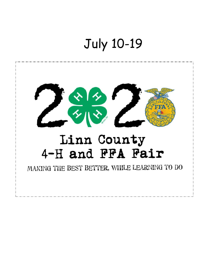# July 10-19

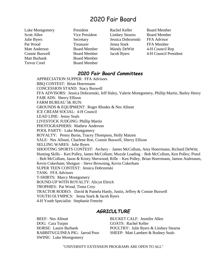# 2020 Fair Board

Scott Allen **Vice President** Lindsey Stearns Board Member Julie Byers Secretary Jessica Dobrzenski FFA Advisor Pat Wood **Treasurer** Jenna Stark FFA Member Matt Anderson Board Member Mandy DeWitt 4-H Council Rep Matt Burbank Board Member Trevor Creel Board Member

Luke Montgomery President Rachel Keller Board Member

Connie Buswell Board Member Jacob Byers 4-H Council President

# *2020 Fair Board Committees*

APPRECIATION SUPPER: FFA Advisors BBQ CONTEST: Brian Hoerrmann CONCESSION STAND: Stacy Buswell FFA ADVISORS: Jessica Dobrzenski, Jeff Haley, Valerie Montgomery, Phillip Martin, Bailey Henry FAIR ADS: Sherry Ellison FARM BUREAU 5K RUN: GROUNDS & EQUIPMENT: Roger Rhodes & Nes Allnutt ICE CREAM SOCIAL: 4-H Council LEAD LINE: Jenny Seals LIVESTOCK JUDGING: Phillip Martin PHOTOGRAPHERS: Mathew Anderson POOL PARTY: Luke Montgomery ROYALTY: Penny Burns, Tracey Thompson, Holly Matzen SALE: Nes Allnutt, Charlene Roe, Connie Buswell, Sherry Ellison SELLING WARES: Julie Byers SHOOTING SPORTS CONTEST: Archery – James McCollum, Amy Hoerrmann, Richard DeWitt; Hunting Skills – Ken Polley, James McCollum; Muzzle Loading – Bob McCollum, Ken Polley; Pistol – Bob McCollum, Jason & Kristy Sherwood; Rifle – Ken Polley, Brian Hoerrmann, Jamon Andreasen, Kevin Cokerham; Shotgun – Steve Browning, Kevin Cokerham SUPER TEEN CONTEST: Jessica Dobrzenski TASK: FFA Advisors T-SHIRTS: Marcy Montgomery ROUND-UP WITH ROYALTY: Alicyn Ehrich TROPHIES: Pat Wood, Tinna Croy TRACTOR RODEO: David & Pamela Hardy, Justin, Jeffrey & Connie Buswell YOUTH OLYMPICS: Jenna Stark & Jacob Byers 4-H Youth Specialist: Stephanie Femrite

# *AGRICULTURE*

BEEF: Nes Allnutt BUCKET CALF: Jennifer Allen DOG: Cara Turpin GOATS: Rachel Keller SWINE: Luke Montgomery

HORSE: Laurie Burbank POULTRY: Julie Byers & Lindsey Stearns RABBITS/GUINEA PIG: Jarrod Poor SHEEP: Matt Lambert & Rodney Seals

"UNIVERSITY EXTENSION PROGRAMS ARE OPEN TO ALL"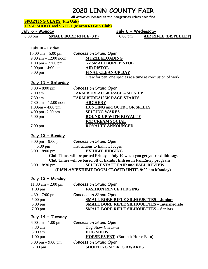# **2020 LINN COUNTY FAIR**

**All activities located on the Fairgrounds unless specified** 

**SPORTING CLAYS (Pin Oak)**

**TRAP SHOOT** and **SKEET (Macon 63 Gun Club)**

#### **July 6 – Monday**

6:00 pm **SMALL BORE RIFLE (3 P)**

#### **July 8 – Wednesday**

6:00 pm **AIR RIFLE (BB/PELLET)**

#### **July 10 – Friday**

| 10:00 am $-$ 5:00 pm                   | <b>Concession Stand Open</b>                              |
|----------------------------------------|-----------------------------------------------------------|
| $9:00 \text{ am} - 12:00 \text{ noon}$ | <b>MUZZLELOADING</b>                                      |
| $1:00 \text{ pm} - 2:00 \text{ pm}$    | .22 SMALLBORE PISTOL                                      |
| $2:00 \text{pm} - 4:00 \text{pm}$      | <b>AIR PISTOL</b>                                         |
| $5:00 \text{ pm}$                      | <b>FINAL CLEAN-UP DAY</b>                                 |
|                                        | Draw for pen, one species at a time at conclusion of work |

#### **July 11 – Saturday**

| $8:00 - 8:00$ pm                  | <b>Concession Stand Open</b>         |
|-----------------------------------|--------------------------------------|
| $7:00$ am                         | <b>FARM BUREAU 5K RACE - SIGN UP</b> |
| $7:30$ am                         | <b>FARM BUREAU 5K RACE STARTS</b>    |
| 7:30 am $-12:00$ noon             | <b>ARCHERY</b>                       |
| $1;00 \text{pm} - 4:00 \text{pm}$ | <b>HUNTING and OUTDOOR SKILLS</b>    |
| 4:00 pm -7:00 pm                  | <b>SELLING WARES</b>                 |
| $5:00 \text{ pm}$                 | <b>ROUND-UP WITH ROYALTY</b>         |
|                                   | <b>ICE CREAM SOCIAL</b>              |

7:00 pm **ROYALTY ANNOUNCED**

#### **July 12 – Sunday**

| $5:00 \text{ pm} - 9:00 \text{ pm}$                                       | <b>Concession Stand Open</b>             |  |
|---------------------------------------------------------------------------|------------------------------------------|--|
| $5:30 \text{ pm}$                                                         | <b>Instructions to Exhibit Judges</b>    |  |
| $5:00 - 8:00$ pm                                                          | <b>EXHIBIT JUDGING</b>                   |  |
| Club Times will be posted Friday - July 10 when you get your exhibit tags |                                          |  |
| Club Times will be based off of Exhibit Entries in FairEntry program      |                                          |  |
| $8:00 - 8:30$ pm                                                          | <b>SELECT STATE FAIR and FALL REVIEW</b> |  |
| (DISPLAY/EXHIBIT ROOM CLOSED UNTIL 9:00 am Monday)                        |                                          |  |

#### **July 13 – Monday**

| 11:30 am $-2:00$ pm | <b>Concession Stand Open</b>                       |
|---------------------|----------------------------------------------------|
| $1:00 \text{ pm}$   | <b>FASHION REVUE JUDGING</b>                       |
| $4:30 - 7:00$ pm    | <b>Concession Stand Open</b>                       |
| $5:00 \text{ pm}$   | <b>SMALL BORE RIFLE SILHOUETTES - Juniors</b>      |
| $6:00 \text{ pm}$   | <b>SMALL BORE RIFLE SILHOUETTES - Intermediate</b> |
| $7:00 \text{ pm}$   | <b>SMALL BORE RIFLE SILHOUETTES - Seniors</b>      |
|                     |                                                    |

#### **July 14 – Tuesday**

| <b>Concession Stand Open</b>            |
|-----------------------------------------|
| Dog Show Check-in                       |
| <b>DOG SHOW</b>                         |
| <b>HORSE EVENT</b> (Burbank Horse Barn) |
| <b>Concession Stand Open</b>            |
| <b>SHOOTING SPORTS AWARDS</b>           |
|                                         |